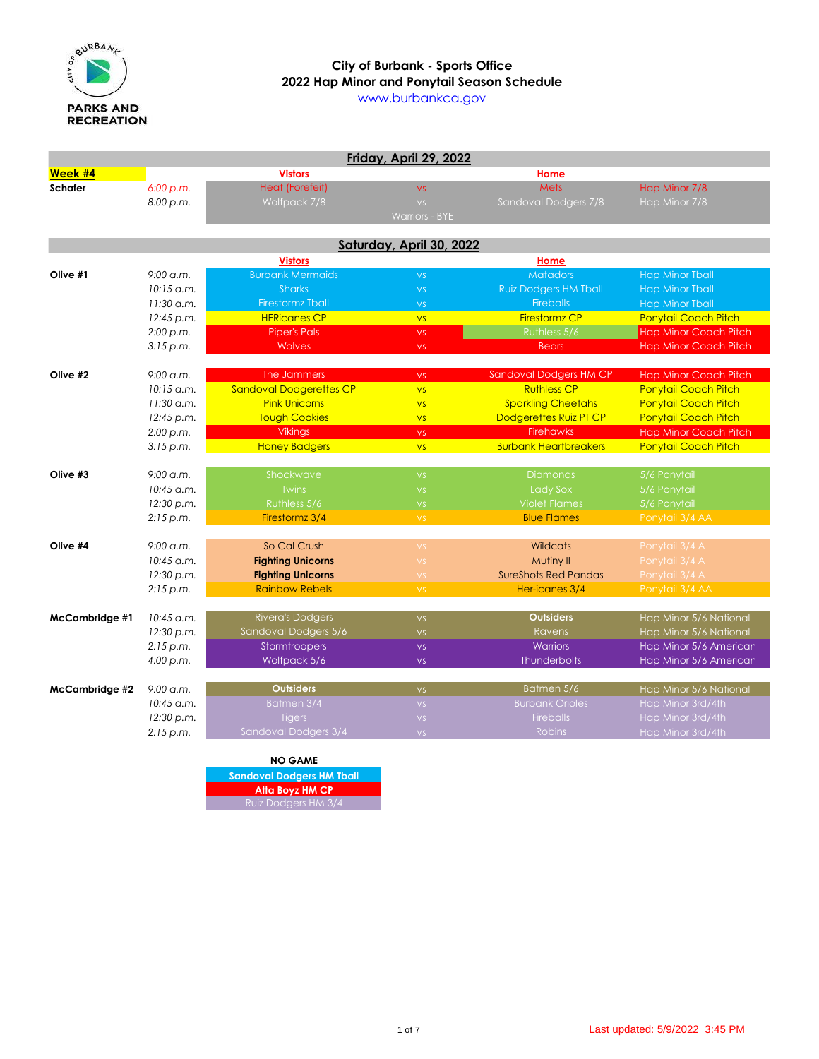

# **2022 Hap Minor and Ponytail Season Schedule City of Burbank - Sports Office**

[www](http://www.burbankca.gov/).burbankca.gov

| Friday, April 29, 2022 |                     |                                |                          |                               |                              |  |
|------------------------|---------------------|--------------------------------|--------------------------|-------------------------------|------------------------------|--|
| Week #4                |                     | <b>Vistors</b>                 |                          | Home                          |                              |  |
| <b>Schafer</b>         | 6:00 p.m.           | <b>Heat (Forefeit)</b>         | <b>VS</b>                | <b>Mets</b>                   | Hap Minor 7/8                |  |
|                        | 8:00 p.m.           | Wolfpack 7/8                   | VS.                      | Sandoval Dodgers 7/8          | Hap Minor 7/8                |  |
|                        |                     |                                | <b>Warriors - BYE</b>    |                               |                              |  |
|                        |                     |                                |                          |                               |                              |  |
|                        |                     |                                | Saturday, April 30, 2022 |                               |                              |  |
|                        |                     | <b>Vistors</b>                 |                          | Home                          |                              |  |
| Olive #1               | $9:00$ a.m.         | <b>Burbank Mermaids</b>        | VS.                      | <b>Matadors</b>               | <b>Hap Minor Tball</b>       |  |
|                        | $10:15$ a.m.        | <b>Sharks</b>                  | VS.                      | <b>Ruiz Dodgers HM Tball</b>  | <b>Hap Minor Tball</b>       |  |
|                        | $11:30$ a.m.        | <b>Firestormz Tball</b>        | VS.                      | <b>Fireballs</b>              | <b>Hap Minor Tball</b>       |  |
|                        | 12:45 p.m.          | <b>HERicanes CP</b>            | <b>VS</b>                | <b>Firestormz CP</b>          | <b>Ponytail Coach Pitch</b>  |  |
|                        | 2:00 p.m.           | <b>Piper's Pals</b>            | VS.                      | Ruthless 5/6                  | <b>Hap Minor Coach Pitch</b> |  |
|                        | 3:15 p.m.           | <b>Wolves</b>                  | <b>VS</b>                | <b>Bears</b>                  | <b>Hap Minor Coach Pitch</b> |  |
|                        |                     |                                |                          |                               |                              |  |
| Olive #2               | $9:00$ a.m.         | The Jammers                    | <b>VS</b>                | <b>Sandoval Dodgers HM CP</b> | <b>Hap Minor Coach Pitch</b> |  |
|                        | $10:15$ a.m.        | <b>Sandoval Dodgerettes CP</b> | <b>VS</b>                | <b>Ruthless CP</b>            | <b>Ponytail Coach Pitch</b>  |  |
|                        | $11:30$ a.m.        | <b>Pink Unicorns</b>           | <b>VS</b>                | <b>Sparkling Cheetahs</b>     | <b>Ponytail Coach Pitch</b>  |  |
|                        | 12:45 p.m.          | <b>Tough Cookies</b>           | <b>VS</b>                | Dodgerettes Ruiz PT CP        | <b>Ponytail Coach Pitch</b>  |  |
|                        | 2:00 p.m.           | <b>Vikings</b>                 | $\mathsf{VS}$            | <b>Firehawks</b>              | <b>Hap Minor Coach Pitch</b> |  |
|                        | 3:15 p.m.           | <b>Honey Badgers</b>           | <b>VS</b>                | <b>Burbank Heartbreakers</b>  | Ponytail Coach Pitch         |  |
| Olive #3               | $9:00$ a.m.         | Shockwave                      | VS.                      | <b>Diamonds</b>               | 5/6 Ponytail                 |  |
|                        | $10:45$ a.m.        | <b>Twins</b>                   | VS.                      | <b>Lady Sox</b>               | 5/6 Ponytail                 |  |
|                        | 12:30 p.m.          | Ruthless 5/6                   | VS.                      | <b>Violet Flames</b>          | 5/6 Ponytail                 |  |
|                        | 2:15 p.m.           | Firestormz 3/4                 | VS.                      | <b>Blue Flames</b>            | Ponytail 3/4 AA              |  |
|                        |                     |                                |                          |                               |                              |  |
| Olive #4               | $9:00 \text{ g.m.}$ | So Cal Crush                   | <b>VS</b>                | <b>Wildcats</b>               | Ponytail 3/4 A               |  |
|                        | $10:45$ a.m.        | <b>Fighting Unicorns</b>       | <b>VS</b>                | Mutiny II                     | Ponytail 3/4 A               |  |
|                        | 12:30 p.m.          | <b>Fighting Unicorns</b>       | <b>VS</b>                | <b>SureShots Red Pandas</b>   | Ponytail 3/4 A               |  |
|                        | 2:15 p.m.           | <b>Rainbow Rebels</b>          | VS.                      | Her-icanes 3/4                | Ponytail 3/4 AA              |  |
|                        |                     |                                |                          |                               |                              |  |
| McCambridge #1         | $10:45$ a.m.        | <b>Rivera's Dodgers</b>        | VS.                      | <b>Outsiders</b>              | Hap Minor 5/6 National       |  |
|                        | 12:30 p.m.          | Sandoval Dodgers 5/6           | VS.                      | <b>Ravens</b>                 | Hap Minor 5/6 National       |  |
|                        | 2:15 p.m.           | Stormtroopers                  | <b>VS</b>                | <b>Warriors</b>               | Hap Minor 5/6 American       |  |
|                        | 4:00 p.m.           | Wolfpack 5/6                   | <b>VS</b>                | <b>Thunderbolts</b>           | Hap Minor 5/6 American       |  |
| McCambridge #2         | $9:00$ a.m.         | <b>Outsiders</b>               | VS.                      | Batmen 5/6                    | Hap Minor 5/6 National       |  |
|                        | 10:45 a.m.          | Batmen 3/4                     | VS.                      | <b>Burbank Orioles</b>        | Hap Minor 3rd/4th            |  |
|                        | 12:30 p.m.          | <b>Tigers</b>                  | VS.                      | <b>Fireballs</b>              | Hap Minor 3rd/4th            |  |
|                        | 2:15 p.m.           | Sandoval Dodgers 3/4           | VS.                      | <b>Robins</b>                 | Hap Minor 3rd/4th            |  |
|                        |                     |                                |                          |                               |                              |  |

**NO GAME Sandoval Dodgers HM Tball Atta Boyz HM CP** Ruiz Dodgers HM 3/4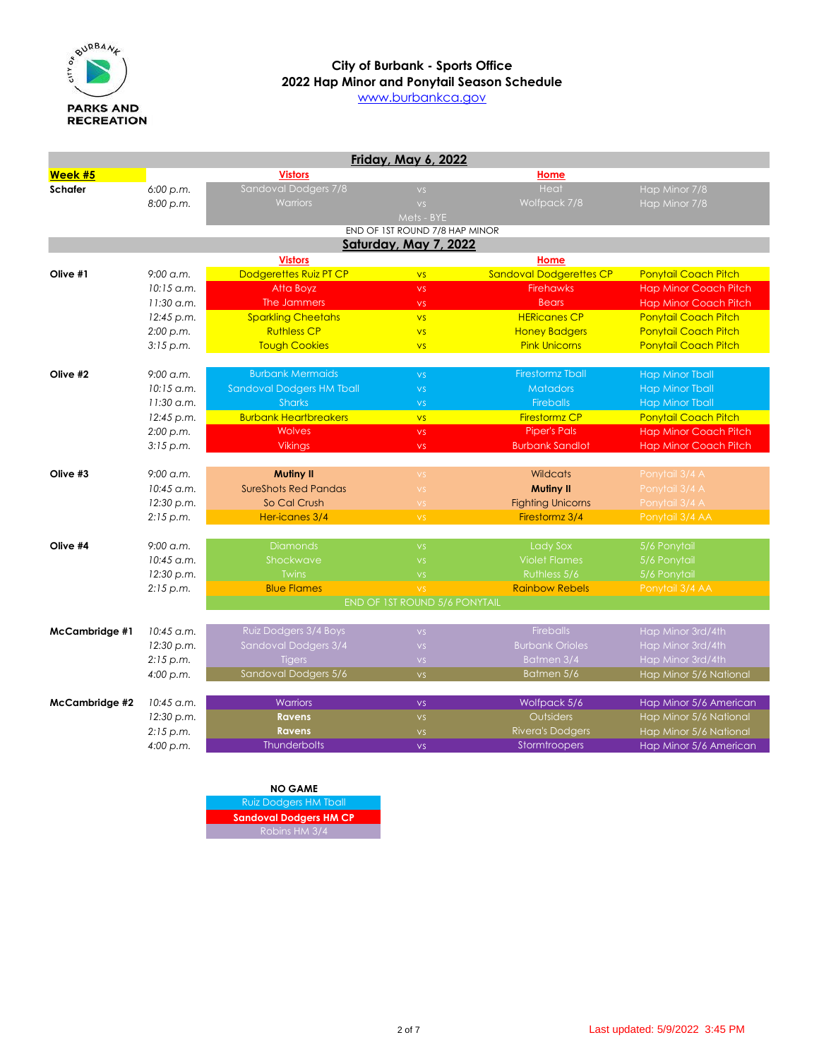

[www](http://www.burbankca.gov/).burbankca.gov

|                       |              |                                  | Friday, May 6, 2022            |                                |                              |
|-----------------------|--------------|----------------------------------|--------------------------------|--------------------------------|------------------------------|
| Week #5               |              | <b>Vistors</b>                   |                                | Home                           |                              |
| <b>Schafer</b>        | 6:00 p.m.    | Sandoval Dodgers 7/8             | VS.                            | Heat                           | Hap Minor 7/8                |
|                       | 8:00 p.m.    | <b>Warriors</b>                  | VS.                            | Wolfpack 7/8                   | Hap Minor 7/8                |
|                       |              |                                  | Mets - BYE                     |                                |                              |
|                       |              |                                  | END OF 1ST ROUND 7/8 HAP MINOR |                                |                              |
|                       |              |                                  | Saturday, May 7, 2022          |                                |                              |
|                       |              | <b>Vistors</b>                   |                                | Home                           |                              |
| Olive #1              | $9:00$ a.m.  | Dodgerettes Ruiz PT CP           | <b>VS</b>                      | <b>Sandoval Dodgerettes CP</b> | <b>Ponytail Coach Pitch</b>  |
|                       | $10:15$ a.m. | Atta Boyz                        | <b>VS</b>                      | <b>Firehawks</b>               | <b>Hap Minor Coach Pitch</b> |
|                       | $11:30$ a.m. | The Jammers                      | VS.                            | <b>Bears</b>                   | <b>Hap Minor Coach Pitch</b> |
|                       | 12:45 p.m.   | <b>Sparkling Cheetahs</b>        | <b>VS</b>                      | <b>HERicanes CP</b>            | <b>Ponytail Coach Pitch</b>  |
|                       | 2:00 p.m.    | <b>Ruthless CP</b>               | <b>VS</b>                      | <b>Honey Badgers</b>           | <b>Ponytail Coach Pitch</b>  |
|                       | 3:15 p.m.    | <b>Tough Cookies</b>             | <b>VS</b>                      | <b>Pink Unicorns</b>           | <b>Ponytail Coach Pitch</b>  |
| Olive #2              | $9:00$ a.m.  | <b>Burbank Mermaids</b>          | VS                             | <b>Firestormz Tball</b>        | <b>Hap Minor Tball</b>       |
|                       | $10:15$ a.m. | <b>Sandoval Dodgers HM Tball</b> | VS                             | <b>Matadors</b>                | <b>Hap Minor Tball</b>       |
|                       | $11:30$ a.m. | <b>Sharks</b>                    | VS.                            | <b>Fireballs</b>               | <b>Hap Minor Tball</b>       |
|                       | 12:45 p.m.   | <b>Burbank Heartbreakers</b>     | <b>VS</b>                      | <b>Firestormz CP</b>           | <b>Ponytail Coach Pitch</b>  |
|                       | 2:00 p.m.    | <b>Wolves</b>                    | <b>VS</b>                      | <b>Piper's Pals</b>            | <b>Hap Minor Coach Pitch</b> |
|                       | 3:15 p.m.    | <b>Vikings</b>                   | <b>VS</b>                      | <b>Burbank Sandlot</b>         | <b>Hap Minor Coach Pitch</b> |
|                       |              |                                  |                                |                                |                              |
| Olive #3              | $9:00$ a.m.  | <b>Mutiny II</b>                 | VS.                            | <b>Wildcats</b>                | Ponytail 3/4 A               |
|                       | $10:45$ a.m. | <b>SureShots Red Pandas</b>      | $\mathsf{VS}$                  | <b>Mutiny II</b>               | Ponytail 3/4 A               |
|                       | 12:30 p.m.   | So Cal Crush                     | <b>VS</b>                      | <b>Fighting Unicorns</b>       | Ponytail 3/4 A               |
|                       | 2:15 p.m.    | Her-icanes 3/4                   | VS.                            | Firestormz 3/4                 | Ponytail 3/4 AA              |
|                       |              |                                  |                                |                                |                              |
| Olive #4              | $9:00$ a.m.  | <b>Diamonds</b>                  | VS.                            | <b>Lady Sox</b>                | 5/6 Ponytail                 |
|                       | $10:45$ a.m. | Shockwave                        | VS.                            | <b>Violet Flames</b>           | 5/6 Ponytail                 |
|                       | 12:30 p.m.   | <b>Twins</b>                     | VS.                            | Ruthless 5/6                   | 5/6 Ponytail                 |
|                       | 2:15 p.m.    | <b>Blue Flames</b>               | VS.                            | <b>Rainbow Rebels</b>          | Ponytail 3/4 AA              |
|                       |              |                                  | END OF 1ST ROUND 5/6 PONYTAIL  |                                |                              |
| McCambridge #1        | $10:45$ a.m. | Ruiz Dodgers 3/4 Boys            | VS.                            | <b>Fireballs</b>               | Hap Minor 3rd/4th            |
|                       | 12:30 p.m.   | Sandoval Dodgers 3/4             | VS.                            | <b>Burbank Orioles</b>         | Hap Minor 3rd/4th            |
|                       | 2:15 p.m.    | <b>Tigers</b>                    | VS.                            | Batmen 3/4                     | Hap Minor 3rd/4th            |
|                       | 4:00 p.m.    | Sandoval Dodgers 5/6             | VS.                            | Batmen 5/6                     | Hap Minor 5/6 National       |
|                       |              |                                  |                                |                                |                              |
| <b>McCambridge #2</b> | 10:45 a.m.   | <b>Warriors</b>                  | <b>VS</b>                      | Wolfpack 5/6                   | Hap Minor 5/6 American       |
|                       | 12:30 p.m.   | <b>Ravens</b>                    | VS.                            | Outsiders                      | Hap Minor 5/6 National       |
|                       | 2:15 p.m.    | <b>Ravens</b>                    | <b>VS</b>                      | Rivera's Dodgers               | Hap Minor 5/6 National       |
|                       | 4:00 p.m.    | <b>Thunderbolts</b>              | VS.                            | Stormtroopers                  | Hap Minor 5/6 American       |

#### **NO GAME** Ruiz Dodgers HM Tball **Sandoval Dodgers HM CP** Robins HM 3/4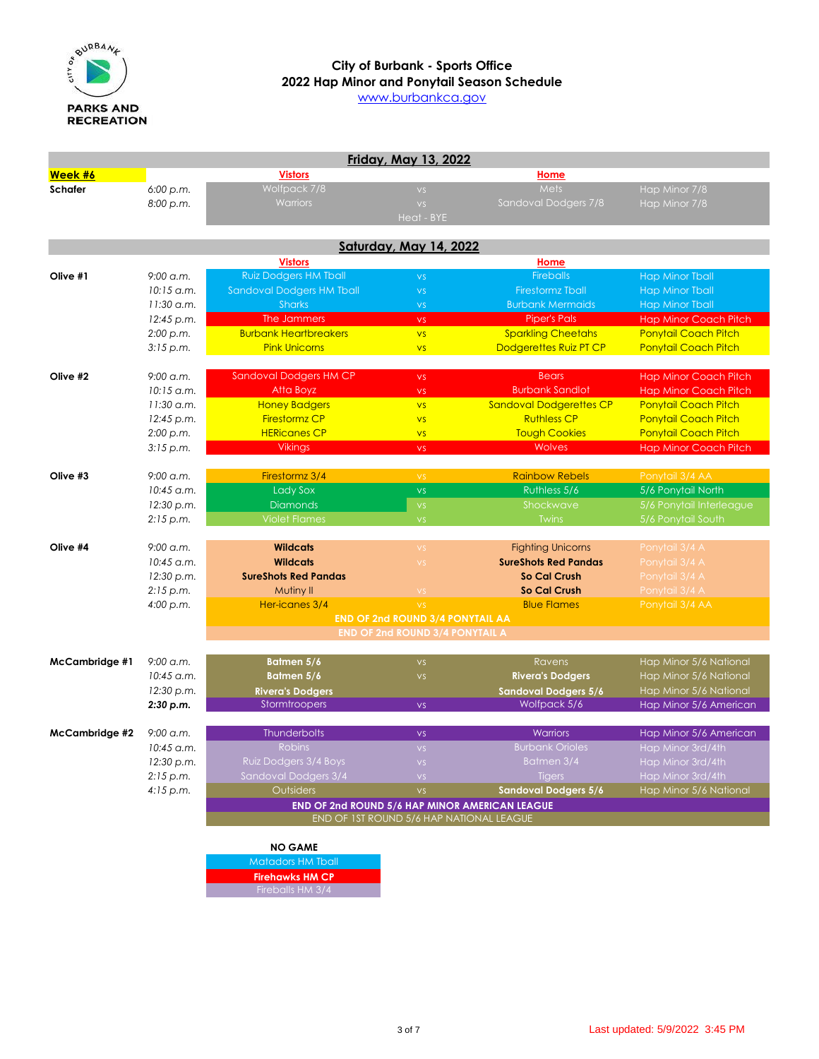

# **2022 Hap Minor and Ponytail Season Schedule City of Burbank - Sports Office**

[www](http://www.burbankca.gov/).burbankca.gov

|                |              |                                     | Friday, May 13, 2022                     |                                                       |                              |
|----------------|--------------|-------------------------------------|------------------------------------------|-------------------------------------------------------|------------------------------|
| Week #6        |              | <b>Vistors</b>                      |                                          | <u>Home</u>                                           |                              |
| <b>Schafer</b> | 6:00 p.m.    | Wolfpack 7/8                        | VS.                                      | Mets                                                  | Hap Minor 7/8                |
|                | 8:00 p.m.    | <b>Warriors</b>                     | VS.                                      | Sandoval Dodgers 7/8                                  | Hap Minor 7/8                |
|                |              |                                     | Heat - BYE                               |                                                       |                              |
|                |              |                                     |                                          |                                                       |                              |
|                |              |                                     | <b>Saturday, May 14, 2022</b>            |                                                       |                              |
|                |              | <b>Vistors</b>                      |                                          | Home                                                  |                              |
| Olive #1       | 9:00 a.m.    | <b>Ruiz Dodgers HM Tball</b>        | VS.                                      | <b>Fireballs</b>                                      | <b>Hap Minor Tball</b>       |
|                | 10:15 a.m.   | <b>Sandoval Dodgers HM Tball</b>    | <b>VS</b>                                | <b>Firestormz Tball</b>                               | <b>Hap Minor Tball</b>       |
|                | $11:30$ a.m. | <b>Sharks</b>                       | $\mathsf{VS}$                            | <b>Burbank Mermaids</b>                               | <b>Hap Minor Tball</b>       |
|                | 12:45 p.m.   | The Jammers                         | <b>VS</b>                                | <b>Piper's Pals</b>                                   | <b>Hap Minor Coach Pitch</b> |
|                | 2:00 p.m.    | <b>Burbank Heartbreakers</b>        | VS                                       | <b>Sparkling Cheetahs</b>                             | <b>Ponytail Coach Pitch</b>  |
|                | 3:15 p.m.    | <b>Pink Unicorns</b>                | <b>VS</b>                                | Dodgerettes Ruiz PT CP                                | Ponytail Coach Pitch         |
| Olive #2       | $9:00$ a.m.  | <b>Sandoval Dodgers HM CP</b>       | <b>VS</b>                                | <b>Bears</b>                                          | <b>Hap Minor Coach Pitch</b> |
|                | $10:15$ a.m. | Atta Boyz                           | <b>VS</b>                                | <b>Burbank Sandlot</b>                                | <b>Hap Minor Coach Pitch</b> |
|                | 11:30 a.m.   | <b>Honey Badgers</b>                | <b>VS</b>                                | <b>Sandoval Dodgerettes CP</b>                        | <b>Ponytail Coach Pitch</b>  |
|                | 12:45 p.m.   | <b>Firestormz CP</b>                | <b>VS</b>                                | <b>Ruthless CP</b>                                    | <b>Ponytail Coach Pitch</b>  |
|                | 2:00 p.m.    | <b>HERicanes CP</b>                 | VS                                       | <b>Tough Cookies</b>                                  | <b>Ponytail Coach Pitch</b>  |
|                | 3:15 p.m.    | <b>Vikings</b>                      | <b>VS</b>                                | <b>Wolves</b>                                         | <b>Hap Minor Coach Pitch</b> |
|                |              |                                     |                                          |                                                       |                              |
| Olive #3       | $9:00$ a.m.  | Firestormz 3/4                      | VS                                       | <b>Rainbow Rebels</b>                                 | Ponytail 3/4 AA              |
|                | 10:45 a.m.   | Lady Sox                            | <b>VS</b>                                | Ruthless 5/6                                          | 5/6 Ponytail North           |
|                | 12:30 p.m.   | <b>Diamonds</b>                     | $\mathsf{VS}$                            | Shockwave                                             | 5/6 Ponytail Interleague     |
|                | 2:15 p.m.    | <b>Violet Flames</b>                | VS.                                      | <b>Twins</b>                                          | 5/6 Ponytail South           |
|                |              |                                     |                                          |                                                       |                              |
| Olive #4       | $9:00$ a.m.  | <b>Wildcats</b>                     | <b>VS</b>                                | <b>Fighting Unicorns</b>                              | Ponytail 3/4 A               |
|                | 10:45 a.m.   | <b>Wildcats</b>                     | VS                                       | <b>SureShots Red Pandas</b>                           | Ponytail 3/4 A               |
|                | 12:30 p.m.   | <b>SureShots Red Pandas</b>         |                                          | So Cal Crush                                          | Ponytail 3/4 A               |
|                | 2:15 p.m.    | Mutiny II                           | <b>VS</b>                                | <b>So Cal Crush</b>                                   | Ponytail 3/4 A               |
|                | 4:00 p.m.    | Her-icanes 3/4                      | VS.                                      | <b>Blue Flames</b>                                    | Ponytail 3/4 AA              |
|                |              |                                     | <b>END OF 2nd ROUND 3/4 PONYTAIL AA</b>  |                                                       |                              |
|                |              |                                     | <b>END OF 2nd ROUND 3/4 PONYTAIL A</b>   |                                                       |                              |
| McCambridge #1 | $9:00$ a.m.  | Batmen 5/6                          | $\mathsf{VS}$                            | <b>Ravens</b>                                         | Hap Minor 5/6 National       |
|                | 10:45 a.m.   | Bałmen 5/6                          | $\mathsf{VS}$                            | <b>Rivera's Dodgers</b>                               | Hap Minor 5/6 National       |
|                | 12:30 p.m.   | <b>Rivera's Dodgers</b>             |                                          | <b>Sandoval Dodgers 5/6</b>                           | Hap Minor 5/6 National       |
|                | 2:30 p.m.    | Stormtroopers                       | <b>VS</b>                                | Wolfpack 5/6                                          | Hap Minor 5/6 American       |
|                |              |                                     |                                          |                                                       |                              |
| McCambridge #2 | 9:00 a.m.    | <b>Thunderbolts</b>                 | <b>VS</b>                                | <b>Warriors</b>                                       | Hap Minor 5/6 American       |
|                | $10:45$ a.m. | <b>Robins</b>                       | VS.                                      | <b>Burbank Orioles</b>                                | Hap Minor 3rd/4th            |
|                | 12:30 p.m.   | Ruiz Dodgers 3/4 Boys               | VS.                                      | Batmen 3/4                                            | Hap Minor 3rd/4th            |
|                | 2:15 p.m.    | Sandoval Dodgers 3/4                | VS.                                      | <b>Tigers</b>                                         | Hap Minor 3rd/4th            |
|                | 4:15 p.m.    | Outsiders                           | VS.                                      | <b>Sandoval Dodgers 5/6</b>                           | Hap Minor 5/6 National       |
|                |              |                                     |                                          | <b>END OF 2nd ROUND 5/6 HAP MINOR AMERICAN LEAGUE</b> |                              |
|                |              |                                     | END OF 1ST ROUND 5/6 HAP NATIONAL LEAGUE |                                                       |                              |
|                |              |                                     |                                          |                                                       |                              |
|                |              | <b>NO GAME</b><br>Matadors HM Tball |                                          |                                                       |                              |
|                |              | <b>Firehawks HM CP</b>              |                                          |                                                       |                              |
|                |              |                                     |                                          |                                                       |                              |

Fireballs HM 3/4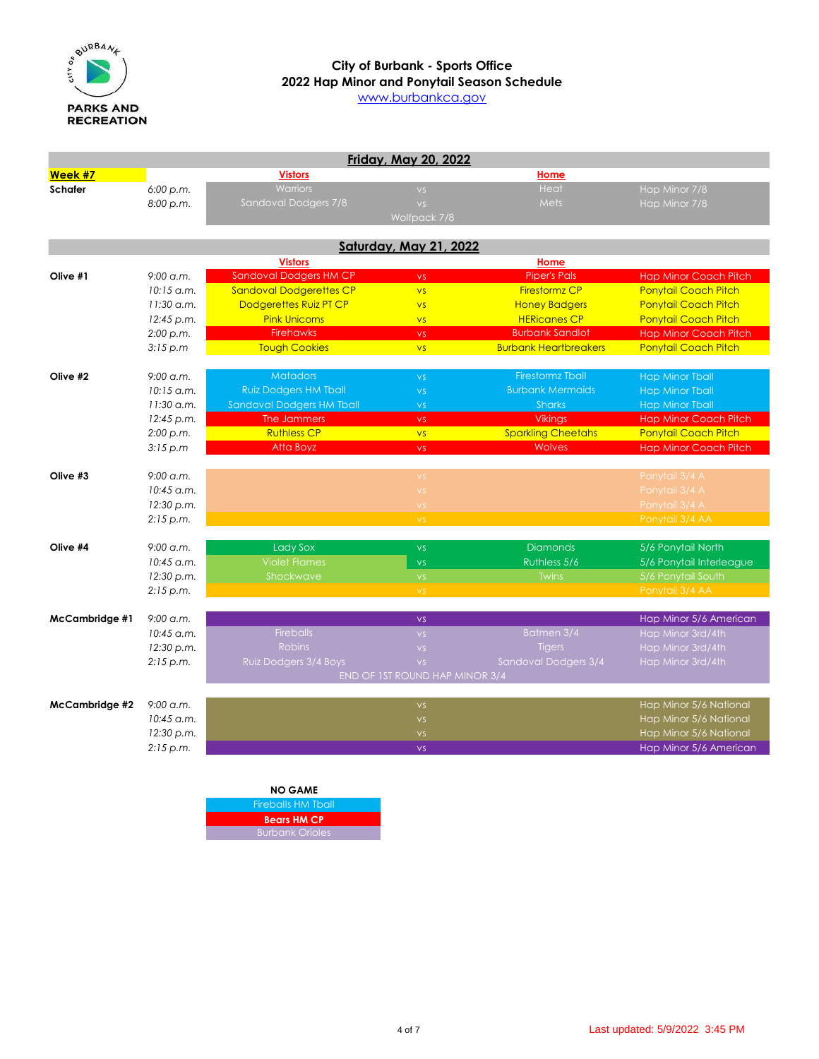

[www](http://www.burbankca.gov/).burbankca.gov

|                |                     |                                  | <b>Friday, May 20, 2022</b>    |                              |                              |
|----------------|---------------------|----------------------------------|--------------------------------|------------------------------|------------------------------|
| Week #7        |                     | <b>Vistors</b>                   |                                | Home                         |                              |
| <b>Schafer</b> | 6:00 p.m.           | <b>Warriors</b>                  | VS.                            | Heat                         | Hap Minor 7/8                |
|                | 8:00 p.m.           | Sandoval Dodgers 7/8             | VS.                            | <b>Mets</b>                  | Hap Minor 7/8                |
|                |                     |                                  | Wolfpack 7/8                   |                              |                              |
|                |                     |                                  | <b>Saturday, May 21, 2022</b>  |                              |                              |
|                |                     | <b>Vistors</b>                   |                                | Home                         |                              |
| Olive #1       | $9:00 \text{ g.m.}$ | Sandoval Dodgers HM CP           | <b>VS</b>                      | <b>Piper's Pals</b>          | <b>Hap Minor Coach Pitch</b> |
|                | $10:15$ a.m.        | <b>Sandoval Dodgerettes CP</b>   | <b>VS</b>                      | <b>Firestormz CP</b>         | <b>Ponytail Coach Pitch</b>  |
|                | $11:30$ a.m.        | Dodgerettes Ruiz PT CP           | <b>VS</b>                      | <b>Honey Badgers</b>         | <b>Ponytail Coach Pitch</b>  |
|                | 12:45 p.m.          | <b>Pink Unicorns</b>             | <b>VS</b>                      | <b>HERicanes CP</b>          | <b>Ponytail Coach Pitch</b>  |
|                | 2:00 p.m.           | <b>Firehawks</b>                 | VS.                            | <b>Burbank Sandlot</b>       | <b>Hap Minor Coach Pitch</b> |
|                | 3:15 p.m            | <b>Tough Cookies</b>             | <b>VS</b>                      | <b>Burbank Heartbreakers</b> | <b>Ponytail Coach Pitch</b>  |
|                |                     |                                  |                                |                              |                              |
| Olive #2       | $9:00$ a.m.         | <b>Matadors</b>                  | VS.                            | <b>Firestormz Tball</b>      | <b>Hap Minor Tball</b>       |
|                | $10:15$ a.m.        | <b>Ruiz Dodgers HM Tball</b>     | VS.                            | <b>Burbank Mermaids</b>      | <b>Hap Minor Tball</b>       |
|                | $11:30$ a.m.        | <b>Sandoval Dodgers HM Tball</b> | VS.                            | <b>Sharks</b>                | <b>Hap Minor Tball</b>       |
|                | 12:45 p.m.          | The Jammers                      | VS                             | <b>Vikings</b>               | <b>Hap Minor Coach Pitch</b> |
|                | 2:00 p.m.           | <b>Ruthless CP</b>               | <b>VS</b>                      | <b>Sparkling Cheetahs</b>    | Ponytail Coach Pitch         |
|                | 3:15 p.m            | Atta Boyz                        | VS.                            | <b>Wolves</b>                | <b>Hap Minor Coach Pitch</b> |
|                |                     |                                  |                                |                              |                              |
| Olive #3       | $9:00$ a.m.         |                                  | VS.                            |                              | Ponytail 3/4 A               |
|                | 10:45 a.m.          |                                  | <b>VS</b>                      |                              | Ponytail 3/4 A               |
|                | 12:30 p.m.          |                                  | VS                             |                              | Ponytail 3/4 A               |
|                | 2:15 p.m.           |                                  | VS.                            |                              | Ponytail 3/4 AA              |
| Olive #4       | $9:00$ a.m.         | Lady Sox                         | <b>VS</b>                      | <b>Diamonds</b>              | 5/6 Ponytail North           |
|                | 10:45 a.m.          | <b>Violet Flames</b>             | VS.                            | Ruthless 5/6                 | 5/6 Ponytail Interleague     |
|                | 12:30 p.m.          | Shockwave                        | VS.                            | <b>Twins</b>                 | 5/6 Ponytail South           |
|                | 2:15 p.m.           |                                  | VS.                            |                              | Ponytail 3/4 AA              |
|                |                     |                                  |                                |                              |                              |
| McCambridge #1 | $9:00$ a.m.         |                                  | <b>VS</b>                      |                              | Hap Minor 5/6 American       |
|                | $10:45$ a.m.        | <b>Fireballs</b>                 | VS.                            | Batmen 3/4                   | Hap Minor 3rd/4th            |
|                | 12:30 p.m.          | <b>Robins</b>                    | VS.                            | <b>Tigers</b>                | Hap Minor 3rd/4th            |
|                | 2:15 p.m.           | Ruiz Dodgers 3/4 Boys            | VS.                            | Sandoval Dodgers 3/4         | Hap Minor 3rd/4th            |
|                |                     |                                  | END OF 1ST ROUND HAP MINOR 3/4 |                              |                              |
| McCambridge #2 | $9:00$ a.m.         |                                  | VS.                            |                              | Hap Minor 5/6 National       |
|                | $10:45$ a.m.        |                                  | VS.                            |                              | Hap Minor 5/6 National       |
|                | 12:30 p.m.          |                                  | VS                             |                              | Hap Minor 5/6 National       |
|                | 2:15 p.m.           |                                  | VS.                            |                              | Hap Minor 5/6 American       |
|                |                     |                                  |                                |                              |                              |
|                |                     |                                  |                                |                              |                              |

| <b>NO GAME</b>            |  |
|---------------------------|--|
| <b>Fireballs HM Tball</b> |  |
| <b>Bears HM CP</b>        |  |
| <b>Burbank Orioles</b>    |  |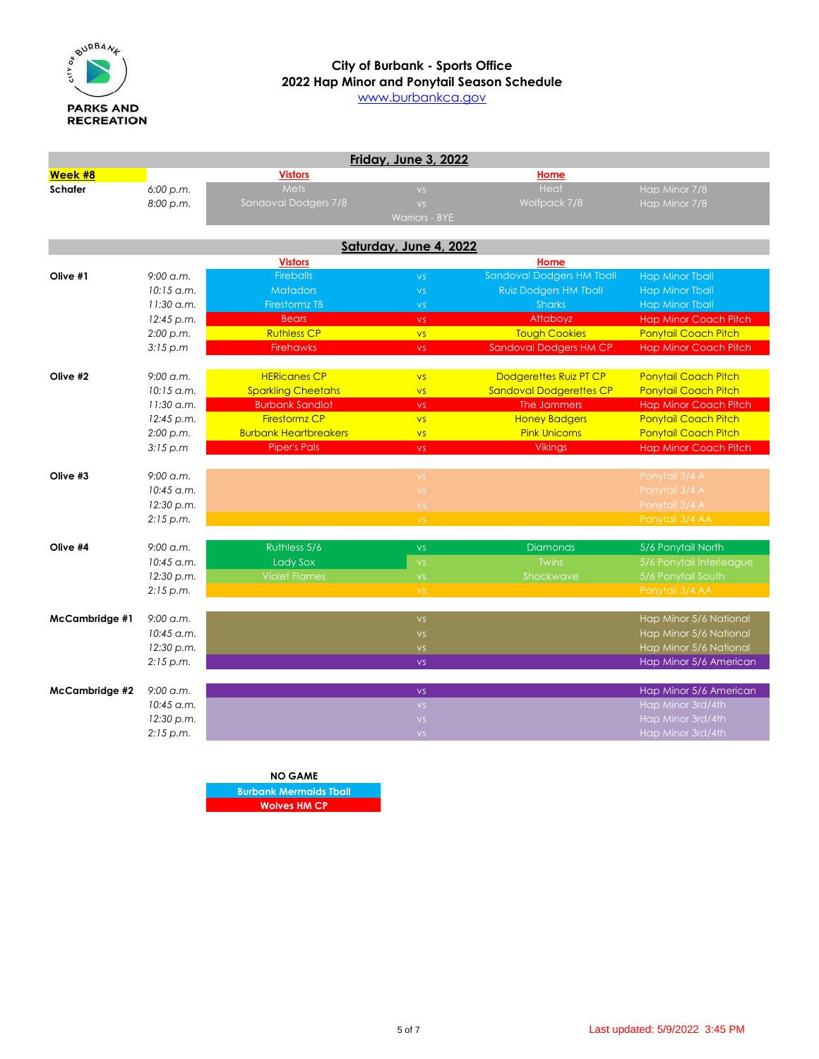

# **2022 Hap Minor and Ponytail Season Schedule City of Burbank - Sports Office**

[www](http://www.burbankca.gov/).burbankca.gov

|                |                     |                              | Friday, June 3, 2022   |                                  |                              |
|----------------|---------------------|------------------------------|------------------------|----------------------------------|------------------------------|
| Week #8        |                     | <b>Vistors</b>               |                        | Home                             |                              |
| <b>Schafer</b> | 6:00 p.m.           | Mets                         | VS                     | Heat                             | Hap Minor 7/8                |
|                | 8:00 p.m.           | Sandoval Dodgers 7/8         | VS                     | Wolfpack 7/8                     | Hap Minor 7/8                |
|                |                     |                              | <b>Warriors - BYE</b>  |                                  |                              |
|                |                     |                              |                        |                                  |                              |
|                |                     |                              | Saturday, June 4, 2022 |                                  |                              |
|                |                     | <b>Vistors</b>               |                        | Home                             |                              |
| Olive #1       | $9:00 \text{ g.m.}$ | <b>Fireballs</b>             | VS.                    | <b>Sandoval Dodgers HM Tball</b> | <b>Hap Minor Tball</b>       |
|                | $10:15$ a.m.        | <b>Matadors</b>              | <b>VS</b>              | <b>Ruiz Dodgers HM Tball</b>     | <b>Hap Minor Tball</b>       |
|                | $11:30$ a.m.        | <b>Firestormz TB</b>         | VS.                    | <b>Sharks</b>                    | <b>Hap Minor Tball</b>       |
|                | 12:45 p.m.          | <b>Bears</b>                 | VS.                    | Attaboyz                         | <b>Hap Minor Coach Pitch</b> |
|                | 2:00 p.m.           | <b>Ruthless CP</b>           | <b>VS</b>              | <b>Tough Cookies</b>             | <b>Ponytail Coach Pitch</b>  |
|                | 3:15 p.m            | <b>Firehawks</b>             | VS.                    | Sandoval Dodgers HM CP           | <b>Hap Minor Coach Pitch</b> |
| Olive #2       | $9:00$ a.m.         | <b>HERicanes CP</b>          | <b>VS</b>              | Dodgerettes Ruiz PT CP           | <b>Ponytail Coach Pitch</b>  |
|                | $10:15$ a.m.        | <b>Sparkling Cheetahs</b>    | VS                     | <b>Sandoval Dodgerettes CP</b>   | <b>Ponytail Coach Pitch</b>  |
|                | $11:30$ a.m.        | <b>Burbank Sandlot</b>       | <b>VS</b>              | The Jammers                      | <b>Hap Minor Coach Pitch</b> |
|                | 12:45 p.m.          | <b>Firestormz CP</b>         | <b>VS</b>              | <b>Honey Badgers</b>             | <b>Ponytail Coach Pitch</b>  |
|                | 2:00 p.m.           | <b>Burbank Heartbreakers</b> | <b>VS</b>              | <b>Pink Unicorns</b>             | <b>Ponytail Coach Pitch</b>  |
|                | 3:15 p.m            | <b>Piper's Pals</b>          | <b>VS</b>              | <b>Vikings</b>                   | <b>Hap Minor Coach Pitch</b> |
|                |                     |                              |                        |                                  |                              |
| Olive #3       | $9:00$ a.m.         |                              | <b>VS</b>              |                                  | Ponytail 3/4 A               |
|                | 10:45 a.m.          |                              | VS                     |                                  | Ponytail 3/4 A               |
|                | 12:30 p.m.          |                              | $\mathsf{VS}$          |                                  | Ponytail 3/4 A               |
|                | 2:15 p.m.           |                              | VS.                    |                                  | Ponytail 3/4 AA              |
|                |                     |                              |                        |                                  |                              |
| Olive #4       | $9:00$ a.m.         | Ruthless 5/6                 | <b>VS</b>              | <b>Diamonds</b>                  | 5/6 Ponytail North           |
|                | $10:45$ a.m.        | <b>Lady Sox</b>              | <b>VS</b>              | <b>Twins</b>                     | 5/6 Ponytail Interleague     |
|                | 12:30 p.m.          | <b>Violet Flames</b>         | VS.                    | Shockwave                        | 5/6 Ponytail South           |
|                | 2:15 p.m.           |                              | VS.                    |                                  | Ponytail 3/4 AA              |
| McCambridge #1 | $9:00$ a.m.         |                              | <b>VS</b>              |                                  | Hap Minor 5/6 National       |
|                | $10:45$ a.m.        |                              | VS.                    |                                  | Hap Minor 5/6 National       |
|                | 12:30 p.m.          |                              | <b>VS</b>              |                                  | Hap Minor 5/6 National       |
|                | 2:15 p.m.           |                              | <b>VS</b>              |                                  | Hap Minor 5/6 American       |
|                |                     |                              |                        |                                  |                              |
| McCambridge #2 | $9:00$ a.m.         |                              | <b>VS</b>              |                                  | Hap Minor 5/6 American       |
|                | $10:45$ a.m.        |                              | VS.                    |                                  | Hap Minor 3rd/4th            |
|                | 12:30 p.m.          |                              | $\mathsf{VS}$          |                                  | Hap Minor 3rd/4th            |
|                | 2:15 p.m.           |                              | VS.                    |                                  | Hap Minor 3rd/4th            |

**NO GAME Burbank Mermaids Tball Wolves HM CP**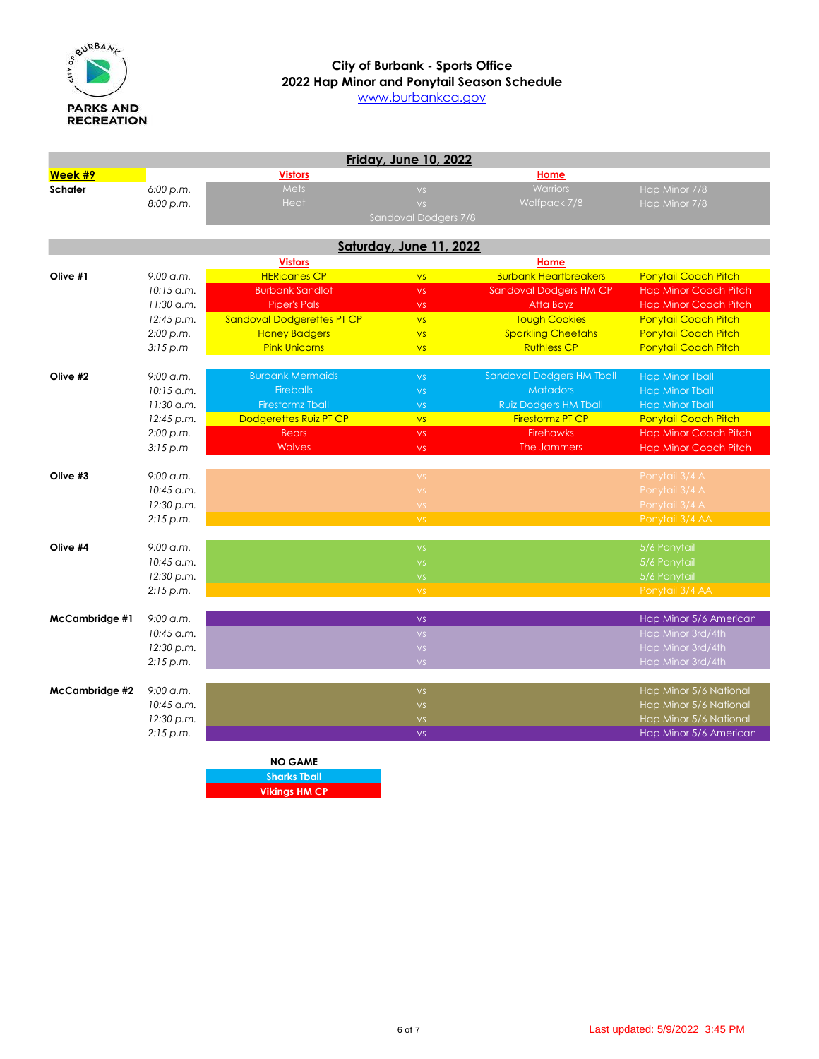

[www](http://www.burbankca.gov/).burbankca.gov

|                       |              |                            | <b>Friday, June 10, 2022</b> |                                  |                              |
|-----------------------|--------------|----------------------------|------------------------------|----------------------------------|------------------------------|
| Week #9               |              | <b>Vistors</b>             |                              | Home                             |                              |
| <b>Schafer</b>        | 6:00 p.m.    | <b>Mets</b>                | VS                           | <b>Warriors</b>                  | Hap Minor 7/8                |
|                       | 8:00 p.m.    | Heat                       | VS                           | Wolfpack 7/8                     | Hap Minor 7/8                |
|                       |              |                            | Sandoval Dodgers 7/8         |                                  |                              |
|                       |              |                            | Saturday, June 11, 2022      |                                  |                              |
|                       |              | <b>Vistors</b>             |                              | Home                             |                              |
| Olive #1              | $9:00$ a.m.  | <b>HERicanes CP</b>        | <b>VS</b>                    | <b>Burbank Heartbreakers</b>     | <b>Ponytail Coach Pitch</b>  |
|                       | $10:15$ a.m. | <b>Burbank Sandlot</b>     | <b>VS</b>                    | Sandoval Dodgers HM CP           | <b>Hap Minor Coach Pitch</b> |
|                       | 11:30 a.m.   | <b>Piper's Pals</b>        | VS.                          | Atta Boyz                        | <b>Hap Minor Coach Pitch</b> |
|                       | 12:45 p.m.   | Sandoval Dodgerettes PT CP | VS                           | <b>Tough Cookies</b>             | Ponytail Coach Pitch         |
|                       | 2:00 p.m.    | <b>Honey Badgers</b>       | VS                           | <b>Sparkling Cheetahs</b>        | <b>Ponytail Coach Pitch</b>  |
|                       | 3:15 p.m     | <b>Pink Unicorns</b>       | <b>VS</b>                    | <b>Ruthless CP</b>               | Ponytail Coach Pitch         |
|                       |              |                            |                              |                                  |                              |
| Olive #2              | $9:00$ a.m.  | <b>Burbank Mermaids</b>    | <b>VS</b>                    | <b>Sandoval Dodgers HM Tball</b> | Hap Minor Tball              |
|                       | $10:15$ a.m. | <b>Fireballs</b>           | VS                           | <b>Matadors</b>                  | <b>Hap Minor Tball</b>       |
|                       | $11:30$ a.m. | <b>Firestormz Tball</b>    | <b>VS</b>                    | <b>Ruiz Dodgers HM Tball</b>     | <b>Hap Minor Tball</b>       |
|                       | 12:45 p.m.   | Dodgerettes Ruiz PT CP     | <b>VS</b>                    | Firestormz PT CP                 | <b>Ponytail Coach Pitch</b>  |
|                       | 2:00 p.m.    | <b>Bears</b>               | <b>VS</b>                    | <b>Firehawks</b>                 | <b>Hap Minor Coach Pitch</b> |
|                       | 3:15 p.m     | <b>Wolves</b>              | <b>VS</b>                    | The Jammers                      | <b>Hap Minor Coach Pitch</b> |
|                       |              |                            |                              |                                  |                              |
| Olive #3              | $9:00$ a.m.  |                            | VS.                          |                                  | Ponytail 3/4 A               |
|                       | 10:45 a.m.   |                            | $\boldsymbol{\mathsf{VS}}$   |                                  | Ponytail 3/4 A               |
|                       | 12:30 p.m.   |                            | <b>VS</b>                    |                                  | Ponytail 3/4 A               |
|                       | 2:15 p.m.    |                            | $\mathsf{VS}$                |                                  | Ponytail 3/4 AA              |
| Olive #4              | 9:00 a.m.    |                            | VS                           |                                  | 5/6 Ponytail                 |
|                       | $10:45$ a.m. |                            | <b>VS</b>                    |                                  | 5/6 Ponytail                 |
|                       | 12:30 p.m.   |                            | VS                           |                                  | 5/6 Ponytail                 |
|                       | 2:15 p.m.    |                            | VS.                          |                                  | Ponytail 3/4 AA              |
|                       |              |                            |                              |                                  |                              |
| <b>McCambridge #1</b> | $9:00$ a.m.  |                            | <b>VS</b>                    |                                  | Hap Minor 5/6 American       |
|                       | $10:45$ a.m. |                            | VS.                          |                                  | Hap Minor 3rd/4th            |
|                       | 12:30 p.m.   |                            | VS.                          |                                  | Hap Minor 3rd/4th            |
|                       | 2:15 p.m.    |                            | VS.                          |                                  | Hap Minor 3rd/4th            |
| McCambridge #2        | $9:00$ a.m.  |                            | <b>VS</b>                    |                                  | Hap Minor 5/6 National       |
|                       | $10:45$ a.m. |                            | $\mathsf{VS}$                |                                  | Hap Minor 5/6 National       |
|                       | 12:30 p.m.   |                            | $\mathsf{VS}$                |                                  | Hap Minor 5/6 National       |
|                       | 2:15 p.m.    |                            | VS                           |                                  | Hap Minor 5/6 American       |
|                       |              |                            |                              |                                  |                              |
|                       |              | <b>NO GAME</b>             |                              |                                  |                              |
|                       |              | <b>Sharks Tball</b>        |                              |                                  |                              |
|                       |              | <b>Vikings HM CP</b>       |                              |                                  |                              |